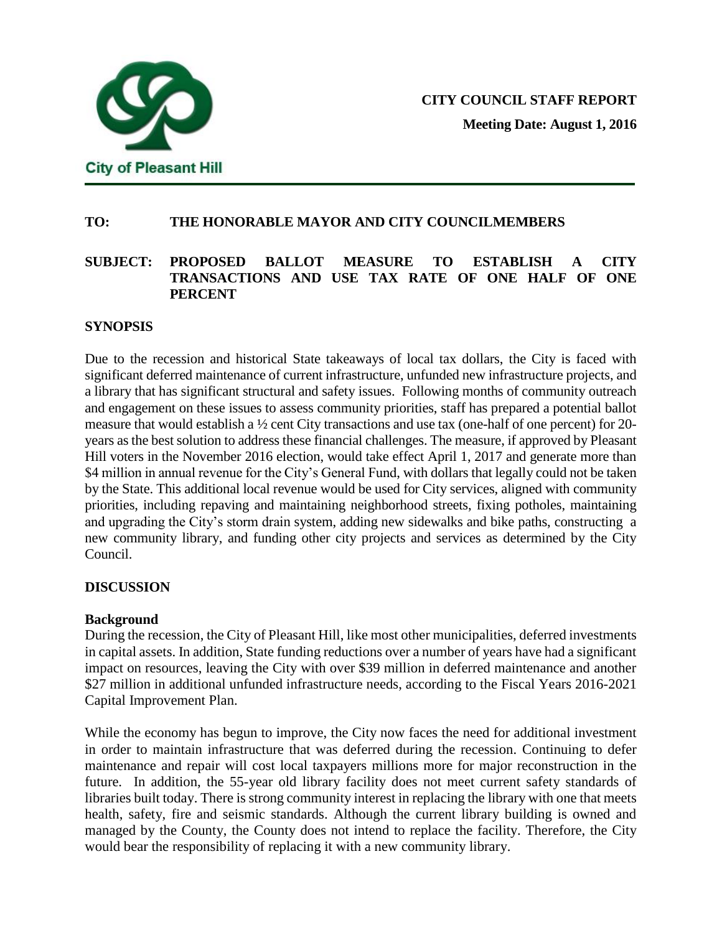

## **TO: THE HONORABLE MAYOR AND CITY COUNCILMEMBERS**

## **SUBJECT: PROPOSED BALLOT MEASURE TO ESTABLISH A CITY TRANSACTIONS AND USE TAX RATE OF ONE HALF OF ONE PERCENT**

#### **SYNOPSIS**

Due to the recession and historical State takeaways of local tax dollars, the City is faced with significant deferred maintenance of current infrastructure, unfunded new infrastructure projects, and a library that has significant structural and safety issues. Following months of community outreach and engagement on these issues to assess community priorities, staff has prepared a potential ballot measure that would establish a ½ cent City transactions and use tax (one-half of one percent) for 20 years as the best solution to address these financial challenges. The measure, if approved by Pleasant Hill voters in the November 2016 election, would take effect April 1, 2017 and generate more than \$4 million in annual revenue for the City's General Fund, with dollars that legally could not be taken by the State. This additional local revenue would be used for City services, aligned with community priorities, including repaving and maintaining neighborhood streets, fixing potholes, maintaining and upgrading the City's storm drain system, adding new sidewalks and bike paths, constructing a new community library, and funding other city projects and services as determined by the City Council.

## **DISCUSSION**

## **Background**

During the recession, the City of Pleasant Hill, like most other municipalities, deferred investments in capital assets. In addition, State funding reductions over a number of years have had a significant impact on resources, leaving the City with over \$39 million in deferred maintenance and another \$27 million in additional unfunded infrastructure needs, according to the Fiscal Years 2016-2021 Capital Improvement Plan.

While the economy has begun to improve, the City now faces the need for additional investment in order to maintain infrastructure that was deferred during the recession. Continuing to defer maintenance and repair will cost local taxpayers millions more for major reconstruction in the future. In addition, the 55-year old library facility does not meet current safety standards of libraries built today. There is strong community interest in replacing the library with one that meets health, safety, fire and seismic standards. Although the current library building is owned and managed by the County, the County does not intend to replace the facility. Therefore, the City would bear the responsibility of replacing it with a new community library.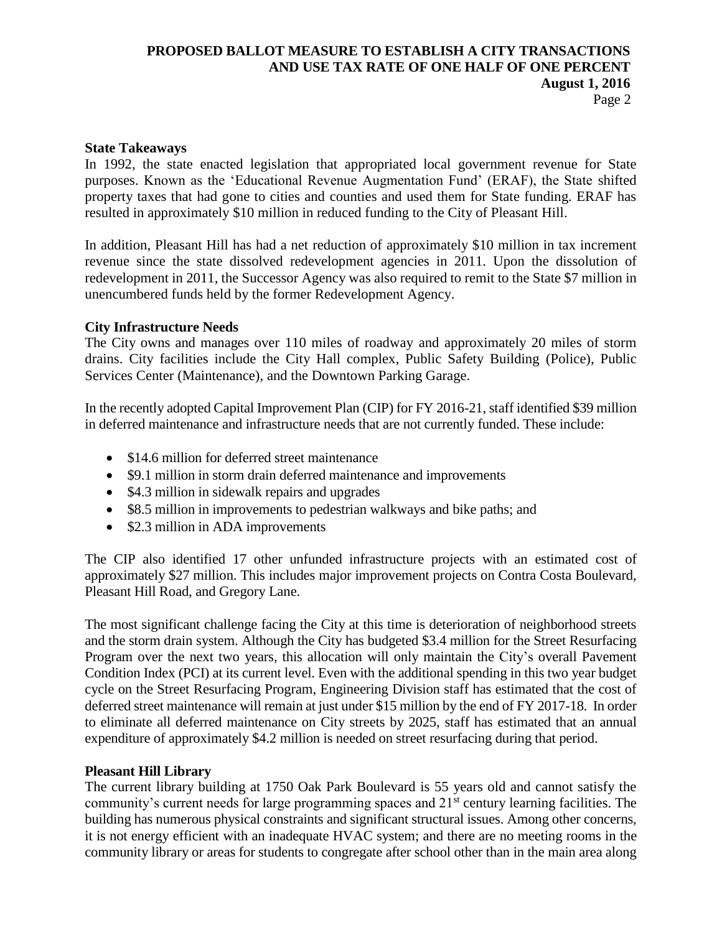## Page 2

#### **State Takeaways**

In 1992, the state enacted legislation that appropriated local government revenue for State purposes. Known as the 'Educational Revenue Augmentation Fund' (ERAF), the State shifted property taxes that had gone to cities and counties and used them for State funding. ERAF has resulted in approximately \$10 million in reduced funding to the City of Pleasant Hill.

In addition, Pleasant Hill has had a net reduction of approximately \$10 million in tax increment revenue since the state dissolved redevelopment agencies in 2011. Upon the dissolution of redevelopment in 2011, the Successor Agency was also required to remit to the State \$7 million in unencumbered funds held by the former Redevelopment Agency.

#### **City Infrastructure Needs**

The City owns and manages over 110 miles of roadway and approximately 20 miles of storm drains. City facilities include the City Hall complex, Public Safety Building (Police), Public Services Center (Maintenance), and the Downtown Parking Garage.

In the recently adopted Capital Improvement Plan (CIP) for FY 2016-21, staff identified \$39 million in deferred maintenance and infrastructure needs that are not currently funded. These include:

- \$14.6 million for deferred street maintenance
- \$9.1 million in storm drain deferred maintenance and improvements
- \$4.3 million in sidewalk repairs and upgrades
- \$8.5 million in improvements to pedestrian walkways and bike paths; and
- \$2.3 million in ADA improvements

The CIP also identified 17 other unfunded infrastructure projects with an estimated cost of approximately \$27 million. This includes major improvement projects on Contra Costa Boulevard, Pleasant Hill Road, and Gregory Lane.

The most significant challenge facing the City at this time is deterioration of neighborhood streets and the storm drain system. Although the City has budgeted \$3.4 million for the Street Resurfacing Program over the next two years, this allocation will only maintain the City's overall Pavement Condition Index (PCI) at its current level. Even with the additional spending in this two year budget cycle on the Street Resurfacing Program, Engineering Division staff has estimated that the cost of deferred street maintenance will remain at just under \$15 million by the end of FY 2017-18. In order to eliminate all deferred maintenance on City streets by 2025, staff has estimated that an annual expenditure of approximately \$4.2 million is needed on street resurfacing during that period.

## **Pleasant Hill Library**

The current library building at 1750 Oak Park Boulevard is 55 years old and cannot satisfy the community's current needs for large programming spaces and 21<sup>st</sup> century learning facilities. The building has numerous physical constraints and significant structural issues. Among other concerns, it is not energy efficient with an inadequate HVAC system; and there are no meeting rooms in the community library or areas for students to congregate after school other than in the main area along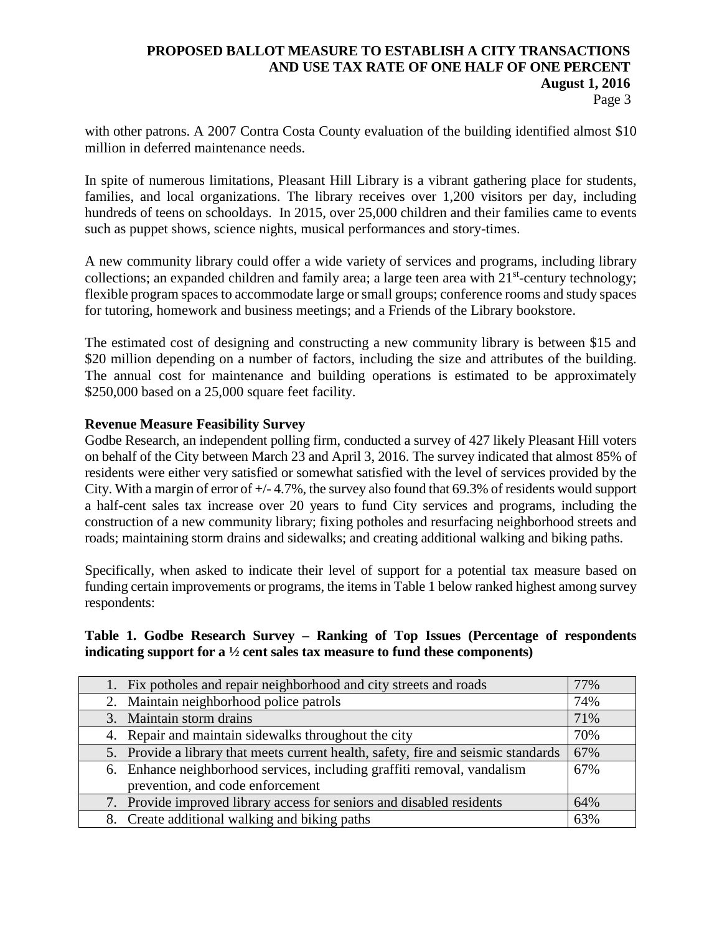Page 3

with other patrons. A 2007 Contra Costa County evaluation of the building identified almost \$10 million in deferred maintenance needs.

In spite of numerous limitations, Pleasant Hill Library is a vibrant gathering place for students, families, and local organizations. The library receives over 1,200 visitors per day, including hundreds of teens on schooldays. In 2015, over 25,000 children and their families came to events such as puppet shows, science nights, musical performances and story-times.

A new community library could offer a wide variety of services and programs, including library collections; an expanded children and family area; a large teen area with 21<sup>st</sup>-century technology; flexible program spaces to accommodate large or small groups; conference rooms and study spaces for tutoring, homework and business meetings; and a Friends of the Library bookstore.

The estimated cost of designing and constructing a new community library is between \$15 and \$20 million depending on a number of factors, including the size and attributes of the building. The annual cost for maintenance and building operations is estimated to be approximately \$250,000 based on a 25,000 square feet facility.

## **Revenue Measure Feasibility Survey**

Godbe Research, an independent polling firm, conducted a survey of 427 likely Pleasant Hill voters on behalf of the City between March 23 and April 3, 2016. The survey indicated that almost 85% of residents were either very satisfied or somewhat satisfied with the level of services provided by the City. With a margin of error of +/- 4.7%, the survey also found that 69.3% of residents would support a half-cent sales tax increase over 20 years to fund City services and programs, including the construction of a new community library; fixing potholes and resurfacing neighborhood streets and roads; maintaining storm drains and sidewalks; and creating additional walking and biking paths.

Specifically, when asked to indicate their level of support for a potential tax measure based on funding certain improvements or programs, the items in Table 1 below ranked highest among survey respondents:

## **Table 1. Godbe Research Survey – Ranking of Top Issues (Percentage of respondents indicating support for a ½ cent sales tax measure to fund these components)**

| 1. Fix potholes and repair neighborhood and city streets and roads                 | 77% |
|------------------------------------------------------------------------------------|-----|
| 2. Maintain neighborhood police patrols                                            | 74% |
| 3. Maintain storm drains                                                           | 71% |
| 4. Repair and maintain sidewalks throughout the city                               | 70% |
| 5. Provide a library that meets current health, safety, fire and seismic standards | 67% |
| 6. Enhance neighborhood services, including graffiti removal, vandalism            | 67% |
| prevention, and code enforcement                                                   |     |
| 7. Provide improved library access for seniors and disabled residents              | 64% |
| 8. Create additional walking and biking paths                                      | 63% |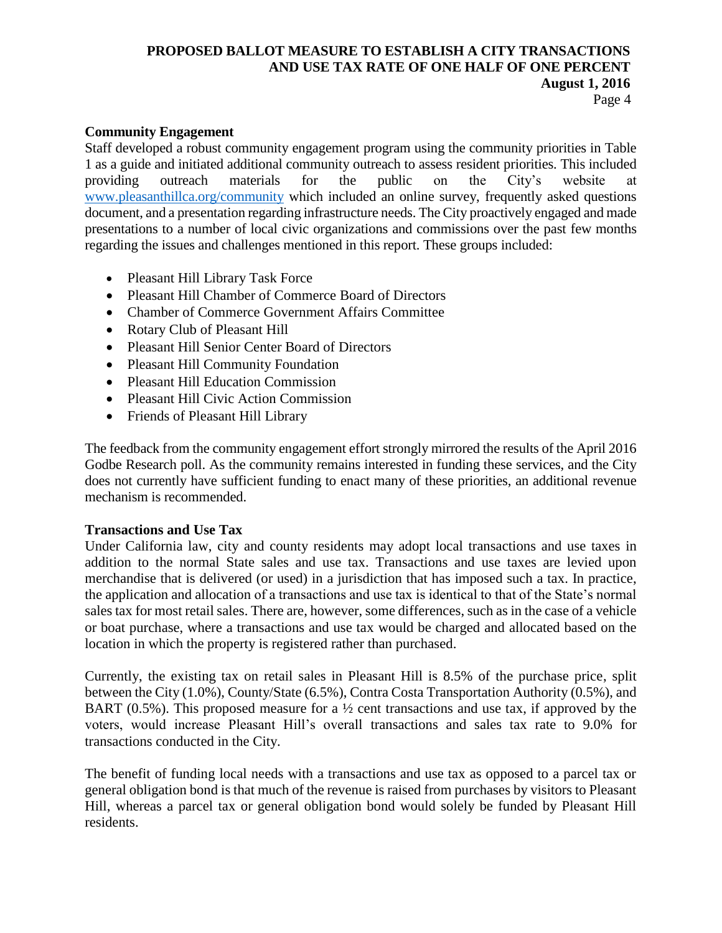#### Page 4

### **Community Engagement**

Staff developed a robust community engagement program using the community priorities in Table 1 as a guide and initiated additional community outreach to assess resident priorities. This included providing outreach materials for the public on the City's website at [www.pleasanthillca.org/community](http://www.pleasanthillca.org/community) which included an online survey, frequently asked questions document, and a presentation regarding infrastructure needs. The City proactively engaged and made presentations to a number of local civic organizations and commissions over the past few months regarding the issues and challenges mentioned in this report. These groups included:

- Pleasant Hill Library Task Force
- Pleasant Hill Chamber of Commerce Board of Directors
- Chamber of Commerce Government Affairs Committee
- Rotary Club of Pleasant Hill
- Pleasant Hill Senior Center Board of Directors
- Pleasant Hill Community Foundation
- Pleasant Hill Education Commission
- Pleasant Hill Civic Action Commission
- Friends of Pleasant Hill Library

The feedback from the community engagement effort strongly mirrored the results of the April 2016 Godbe Research poll. As the community remains interested in funding these services, and the City does not currently have sufficient funding to enact many of these priorities, an additional revenue mechanism is recommended.

#### **Transactions and Use Tax**

Under California law, city and county residents may adopt local transactions and use taxes in addition to the normal State sales and use tax. Transactions and use taxes are levied upon merchandise that is delivered (or used) in a jurisdiction that has imposed such a tax. In practice, the application and allocation of a transactions and use tax is identical to that of the State's normal sales tax for most retail sales. There are, however, some differences, such as in the case of a vehicle or boat purchase, where a transactions and use tax would be charged and allocated based on the location in which the property is registered rather than purchased.

Currently, the existing tax on retail sales in Pleasant Hill is 8.5% of the purchase price, split between the City (1.0%), County/State (6.5%), Contra Costa Transportation Authority (0.5%), and BART (0.5%). This proposed measure for a  $\frac{1}{2}$  cent transactions and use tax, if approved by the voters, would increase Pleasant Hill's overall transactions and sales tax rate to 9.0% for transactions conducted in the City.

The benefit of funding local needs with a transactions and use tax as opposed to a parcel tax or general obligation bond is that much of the revenue is raised from purchases by visitors to Pleasant Hill, whereas a parcel tax or general obligation bond would solely be funded by Pleasant Hill residents.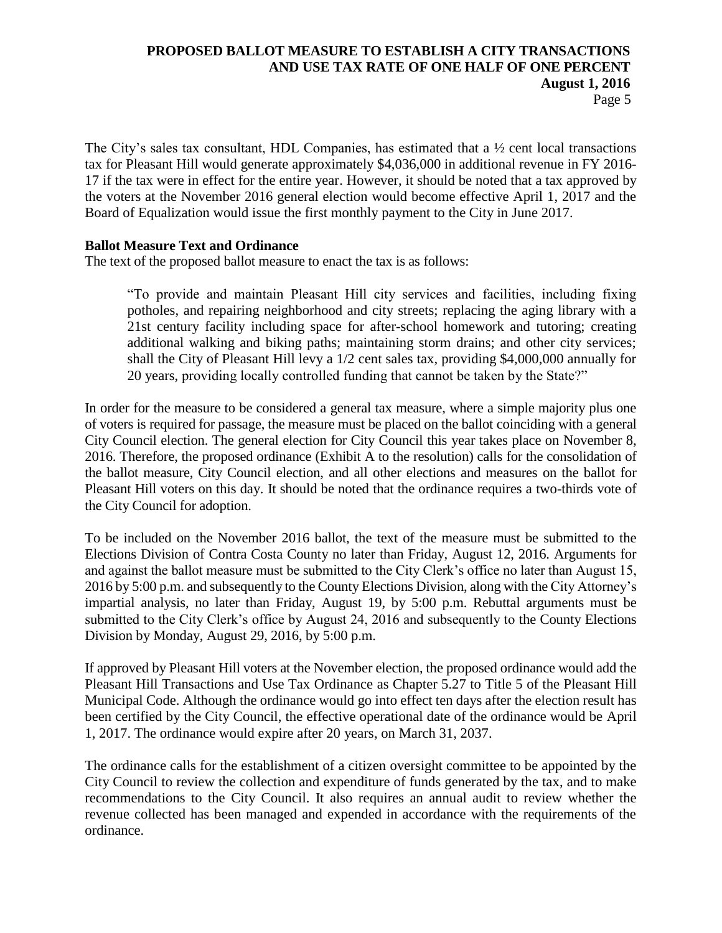The City's sales tax consultant, HDL Companies, has estimated that a  $\frac{1}{2}$  cent local transactions tax for Pleasant Hill would generate approximately \$4,036,000 in additional revenue in FY 2016- 17 if the tax were in effect for the entire year. However, it should be noted that a tax approved by the voters at the November 2016 general election would become effective April 1, 2017 and the Board of Equalization would issue the first monthly payment to the City in June 2017.

## **Ballot Measure Text and Ordinance**

The text of the proposed ballot measure to enact the tax is as follows:

"To provide and maintain Pleasant Hill city services and facilities, including fixing potholes, and repairing neighborhood and city streets; replacing the aging library with a 21st century facility including space for after-school homework and tutoring; creating additional walking and biking paths; maintaining storm drains; and other city services; shall the City of Pleasant Hill levy a 1/2 cent sales tax, providing \$4,000,000 annually for 20 years, providing locally controlled funding that cannot be taken by the State?"

In order for the measure to be considered a general tax measure, where a simple majority plus one of voters is required for passage, the measure must be placed on the ballot coinciding with a general City Council election. The general election for City Council this year takes place on November 8, 2016. Therefore, the proposed ordinance (Exhibit A to the resolution) calls for the consolidation of the ballot measure, City Council election, and all other elections and measures on the ballot for Pleasant Hill voters on this day. It should be noted that the ordinance requires a two-thirds vote of the City Council for adoption.

To be included on the November 2016 ballot, the text of the measure must be submitted to the Elections Division of Contra Costa County no later than Friday, August 12, 2016. Arguments for and against the ballot measure must be submitted to the City Clerk's office no later than August 15, 2016 by 5:00 p.m. and subsequently to the County Elections Division, along with the City Attorney's impartial analysis, no later than Friday, August 19, by 5:00 p.m. Rebuttal arguments must be submitted to the City Clerk's office by August 24, 2016 and subsequently to the County Elections Division by Monday, August 29, 2016, by 5:00 p.m.

If approved by Pleasant Hill voters at the November election, the proposed ordinance would add the Pleasant Hill Transactions and Use Tax Ordinance as Chapter 5.27 to Title 5 of the Pleasant Hill Municipal Code. Although the ordinance would go into effect ten days after the election result has been certified by the City Council, the effective operational date of the ordinance would be April 1, 2017. The ordinance would expire after 20 years, on March 31, 2037.

The ordinance calls for the establishment of a citizen oversight committee to be appointed by the City Council to review the collection and expenditure of funds generated by the tax, and to make recommendations to the City Council. It also requires an annual audit to review whether the revenue collected has been managed and expended in accordance with the requirements of the ordinance.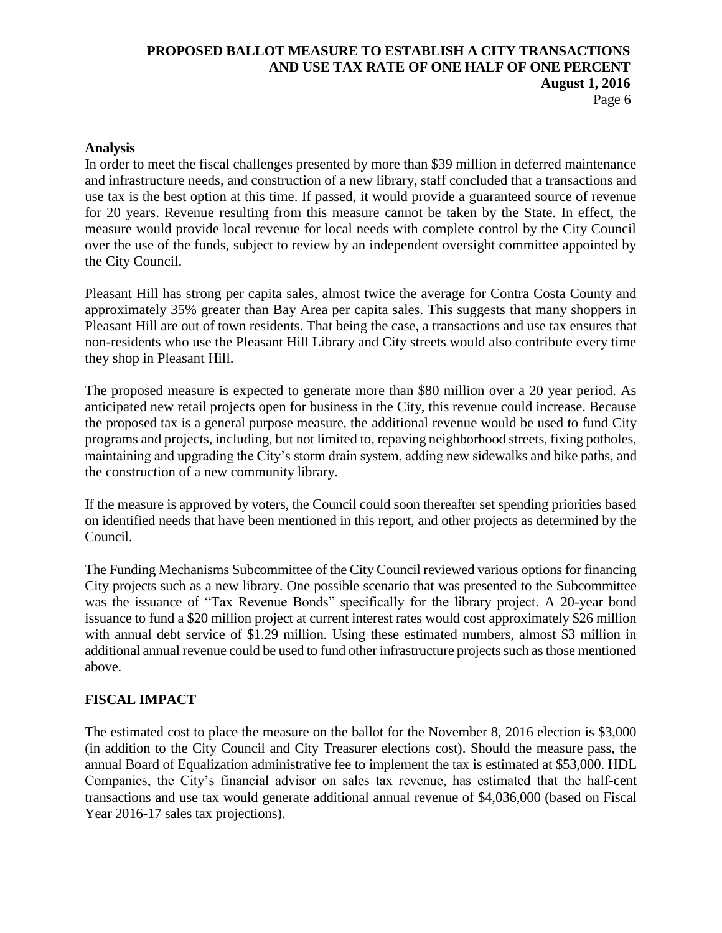#### **Analysis**

In order to meet the fiscal challenges presented by more than \$39 million in deferred maintenance and infrastructure needs, and construction of a new library, staff concluded that a transactions and use tax is the best option at this time. If passed, it would provide a guaranteed source of revenue for 20 years. Revenue resulting from this measure cannot be taken by the State. In effect, the measure would provide local revenue for local needs with complete control by the City Council over the use of the funds, subject to review by an independent oversight committee appointed by the City Council.

Pleasant Hill has strong per capita sales, almost twice the average for Contra Costa County and approximately 35% greater than Bay Area per capita sales. This suggests that many shoppers in Pleasant Hill are out of town residents. That being the case, a transactions and use tax ensures that non-residents who use the Pleasant Hill Library and City streets would also contribute every time they shop in Pleasant Hill.

The proposed measure is expected to generate more than \$80 million over a 20 year period. As anticipated new retail projects open for business in the City, this revenue could increase. Because the proposed tax is a general purpose measure, the additional revenue would be used to fund City programs and projects, including, but not limited to, repaving neighborhood streets, fixing potholes, maintaining and upgrading the City's storm drain system, adding new sidewalks and bike paths, and the construction of a new community library.

If the measure is approved by voters, the Council could soon thereafter set spending priorities based on identified needs that have been mentioned in this report, and other projects as determined by the Council.

The Funding Mechanisms Subcommittee of the City Council reviewed various options for financing City projects such as a new library. One possible scenario that was presented to the Subcommittee was the issuance of "Tax Revenue Bonds" specifically for the library project. A 20-year bond issuance to fund a \$20 million project at current interest rates would cost approximately \$26 million with annual debt service of \$1.29 million. Using these estimated numbers, almost \$3 million in additional annual revenue could be used to fund other infrastructure projects such as those mentioned above.

## **FISCAL IMPACT**

The estimated cost to place the measure on the ballot for the November 8, 2016 election is \$3,000 (in addition to the City Council and City Treasurer elections cost). Should the measure pass, the annual Board of Equalization administrative fee to implement the tax is estimated at \$53,000. HDL Companies, the City's financial advisor on sales tax revenue, has estimated that the half-cent transactions and use tax would generate additional annual revenue of \$4,036,000 (based on Fiscal Year 2016-17 sales tax projections).